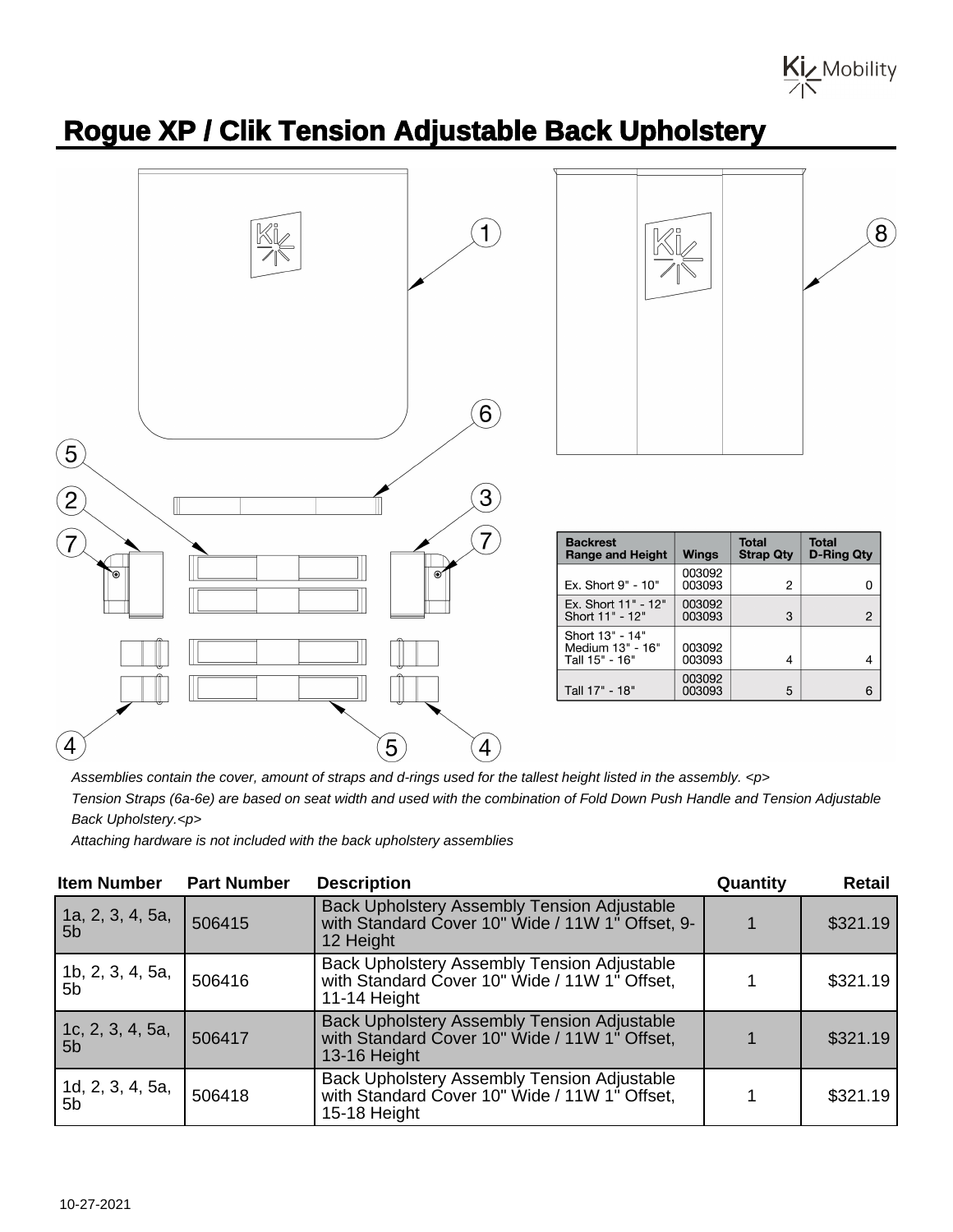Kiz Mobility

## **Rogue XP / Clik Tension Adjustable Back Upholstery**





| <b>Backrest</b><br><b>Range and Height</b>            | <b>Wings</b>     | <b>Total</b><br><b>Strap Qty</b> | <b>Total</b><br>D-Ring Qty |
|-------------------------------------------------------|------------------|----------------------------------|----------------------------|
| Ex. Short 9" - 10"                                    | 003092<br>003093 | 2                                |                            |
| Ex. Short 11" - 12"<br>Short 11" - 12"                | 003092<br>003093 | 3                                | 2                          |
| Short 13" - 14"<br>Medium 13" - 16"<br>Tall 15" - 16" | 003092<br>003093 | 4                                |                            |
| Tall 17" - 18"                                        | 003092<br>003093 | 5                                | 6                          |

Assemblies contain the cover, amount of straps and d-rings used for the tallest height listed in the assembly. <p>

Tension Straps (6a-6e) are based on seat width and used with the combination of Fold Down Push Handle and Tension Adjustable Back Upholstery.<p>

Attaching hardware is not included with the back upholstery assemblies

| <b>Item Number</b>                 | <b>Part Number</b> | <b>Description</b>                                                                                                  | Quantity | Retail   |
|------------------------------------|--------------------|---------------------------------------------------------------------------------------------------------------------|----------|----------|
| 1a, 2, 3, 4, 5a,<br>5 <sub>b</sub> | 506415             | Back Upholstery Assembly Tension Adjustable<br>with Standard Cover 10" Wide / 11W 1" Offset, 9-<br>12 Height        |          | \$321.19 |
| 1b, 2, 3, 4, 5a,<br>5 <sub>b</sub> | 506416             | Back Upholstery Assembly Tension Adjustable<br>with Standard Cover 10" Wide / 11W 1" Offset,<br>11-14 Height        |          | \$321.19 |
| 1c, 2, 3, 4, 5a,<br>5 <sub>b</sub> | 506417             | <b>Back Upholstery Assembly Tension Adjustable</b><br>with Standard Cover 10" Wide / 11W 1" Offset,<br>13-16 Height |          | \$321.19 |
| 1d, 2, 3, 4, 5a,<br>5 <sub>b</sub> | 506418             | <b>Back Upholstery Assembly Tension Adjustable</b><br>with Standard Cover 10" Wide / 11W 1" Offset,<br>15-18 Height |          | \$321.19 |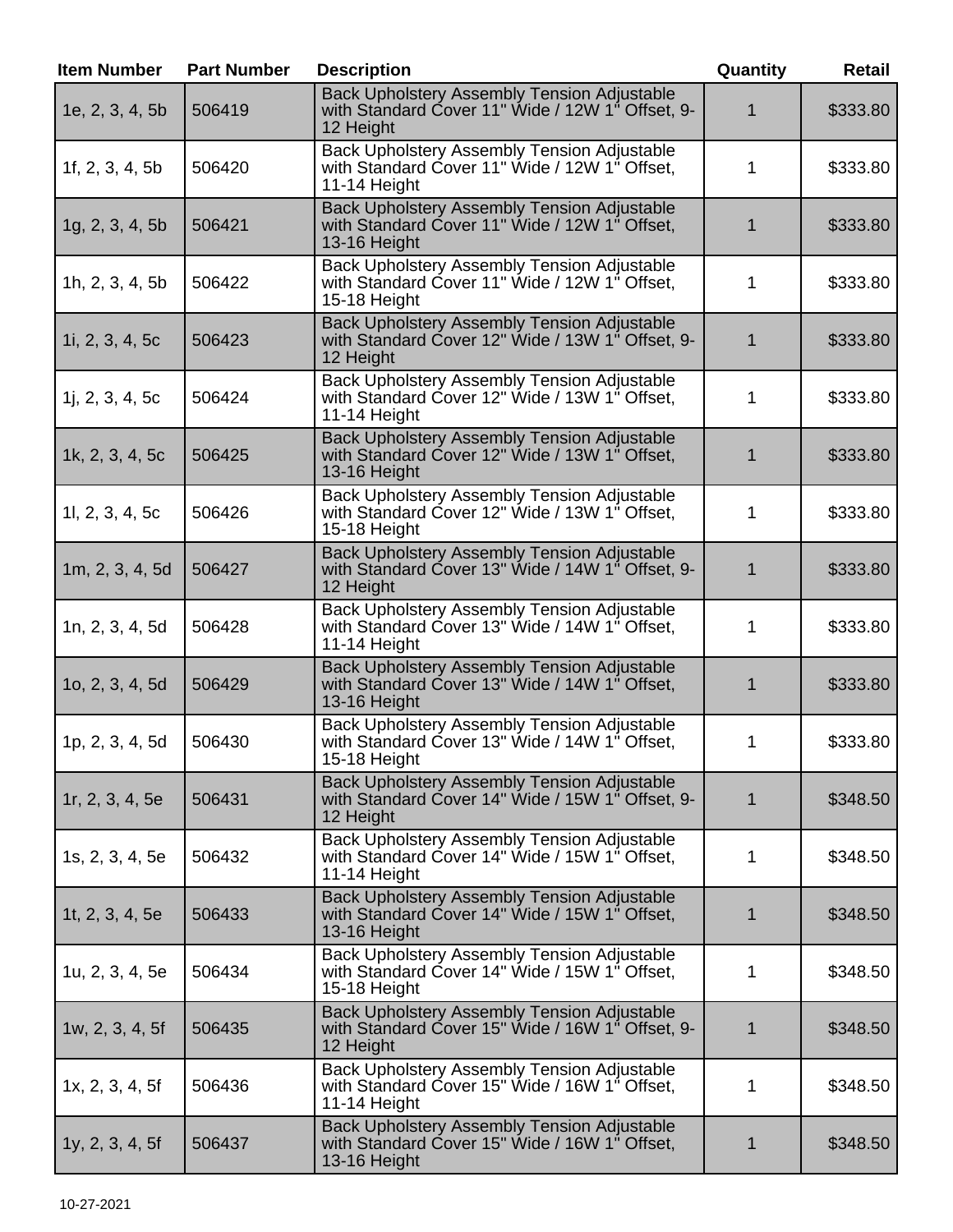| <b>Item Number</b> | <b>Part Number</b> | <b>Description</b>                                                                                                  | Quantity | <b>Retail</b> |
|--------------------|--------------------|---------------------------------------------------------------------------------------------------------------------|----------|---------------|
| 1e, 2, 3, 4, 5b    | 506419             | <b>Back Upholstery Assembly Tension Adjustable</b><br>with Standard Cover 11" Wide / 12W 1" Offset, 9-<br>12 Height |          | \$333.80      |
| 1f, $2, 3, 4, 5b$  | 506420             | Back Upholstery Assembly Tension Adjustable<br>with Standard Cover 11" Wide / 12W 1" Offset,<br>11-14 Height        |          | \$333.80      |
| 1g, 2, 3, 4, 5b    | 506421             | <b>Back Upholstery Assembly Tension Adjustable</b><br>with Standard Cover 11" Wide / 12W 1" Offset,<br>13-16 Height |          | \$333.80      |
| 1h, 2, 3, 4, 5b    | 506422             | Back Upholstery Assembly Tension Adjustable<br>with Standard Cover 11" Wide / 12W 1" Offset,<br>15-18 Height        | 1        | \$333.80      |
| 1i, $2, 3, 4, 5c$  | 506423             | Back Upholstery Assembly Tension Adjustable<br>with Standard Cover 12" Wide / 13W 1" Offset, 9-<br>12 Height        |          | \$333.80      |
| 1j, 2, 3, 4, 5c    | 506424             | Back Upholstery Assembly Tension Adjustable<br>with Standard Cover 12" Wide / 13W 1" Offset,<br>11-14 Height        | 1        | \$333.80      |
| 1k, 2, 3, 4, 5c    | 506425             | Back Upholstery Assembly Tension Adjustable<br>with Standard Cover 12" Wide / 13W 1" Offset,<br>13-16 Height        |          | \$333.80      |
| 11, 2, 3, 4, 5c    | 506426             | Back Upholstery Assembly Tension Adjustable<br>with Standard Cover 12" Wide / 13W 1" Offset,<br>15-18 Height        | 1        | \$333.80      |
| 1m, 2, 3, 4, 5d    | 506427             | <b>Back Upholstery Assembly Tension Adjustable</b><br>with Standard Cover 13" Wide / 14W 1" Offset, 9-<br>12 Height |          | \$333.80      |
| 1n, 2, 3, 4, 5d    | 506428             | <b>Back Upholstery Assembly Tension Adjustable</b><br>with Standard Cover 13" Wide / 14W 1" Offset,<br>11-14 Height | 1        | \$333.80      |
| 10, 2, 3, 4, 5d    | 506429             | <b>Back Upholstery Assembly Tension Adjustable</b><br>with Standard Cover 13" Wide / 14W 1" Offset,<br>13-16 Height |          | \$333.80      |
| 1p, 2, 3, 4, 5d    | 506430             | <b>Back Upholstery Assembly Tension Adjustable</b><br>with Standard Cover 13" Wide / 14W 1" Offset,<br>15-18 Height | 1        | \$333.80      |
| 1r, 2, 3, 4, 5e    | 506431             | <b>Back Upholstery Assembly Tension Adjustable</b><br>with Standard Cover 14" Wide / 15W 1" Offset, 9-<br>12 Height | 1        | \$348.50      |
| 1s, 2, 3, 4, 5e    | 506432             | Back Upholstery Assembly Tension Adjustable<br>with Standard Cover 14" Wide / 15W 1" Offset.<br>11-14 Height        | 1        | \$348.50      |
| 1t, $2, 3, 4, 5e$  | 506433             | Back Upholstery Assembly Tension Adjustable<br>with Standard Cover 14" Wide / 15W 1" Offset,<br>13-16 Height        | 1        | \$348.50      |
| 1u, 2, 3, 4, 5e    | 506434             | Back Upholstery Assembly Tension Adjustable<br>with Standard Cover 14" Wide / 15W 1" Offset,<br>15-18 Height        | 1        | \$348.50      |
| 1w, 2, 3, 4, 5f    | 506435             | <b>Back Upholstery Assembly Tension Adjustable</b><br>with Standard Cover 15" Wide / 16W 1" Offset, 9-<br>12 Height | 1        | \$348.50      |
| 1x, 2, 3, 4, 5f    | 506436             | <b>Back Upholstery Assembly Tension Adjustable</b><br>with Standard Cover 15" Wide / 16W 1" Offset,<br>11-14 Height | 1        | \$348.50      |
| 1y, 2, 3, 4, 5f    | 506437             | Back Upholstery Assembly Tension Adjustable<br>with Standard Cover 15" Wide / 16W 1" Offset,<br>13-16 Height        | 1        | \$348.50      |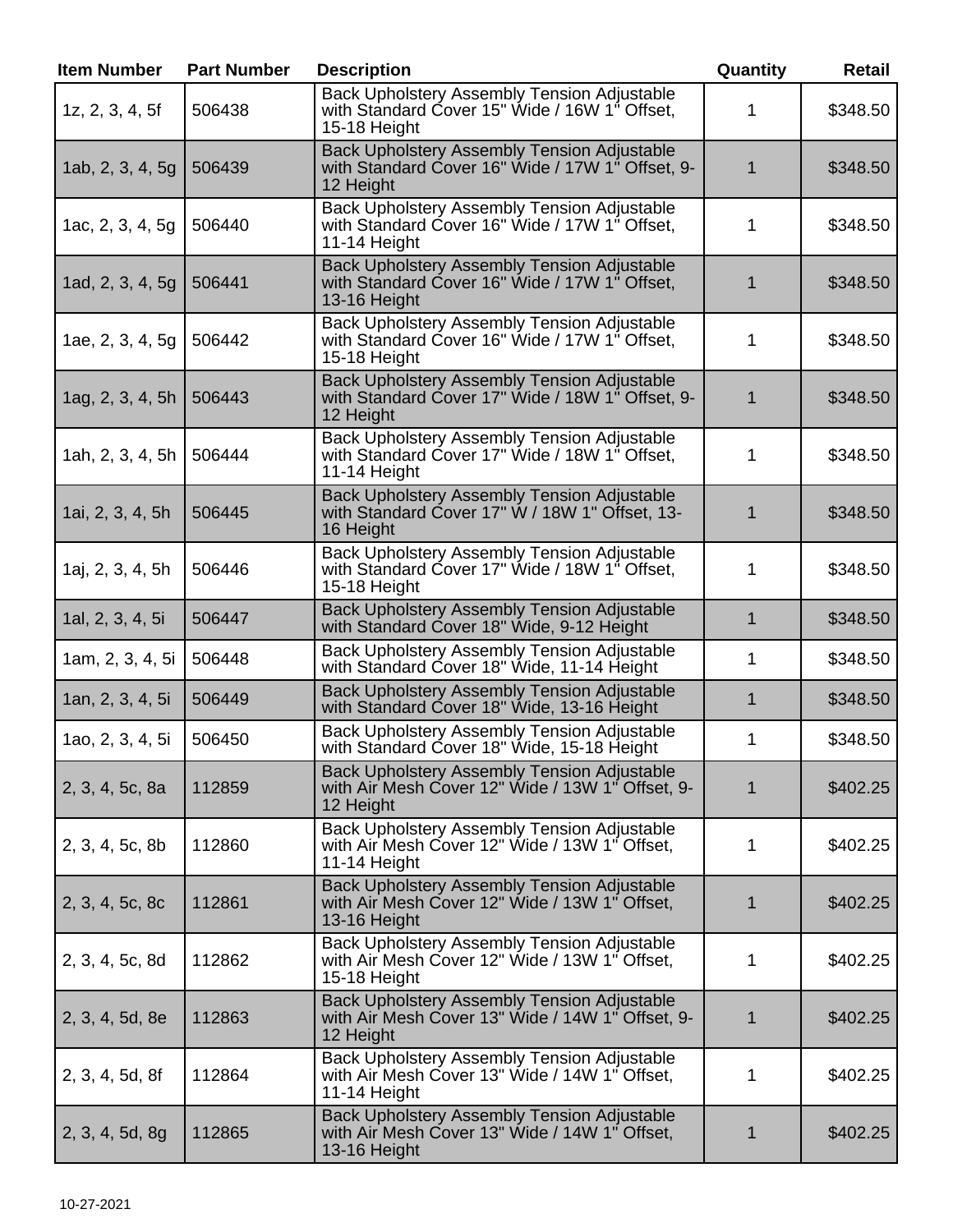| <b>Item Number</b> | <b>Part Number</b> | <b>Description</b>                                                                                                  | Quantity     | Retail   |
|--------------------|--------------------|---------------------------------------------------------------------------------------------------------------------|--------------|----------|
| 1z, 2, 3, 4, 5f    | 506438             | Back Upholstery Assembly Tension Adjustable<br>with Standard Cover 15" Wide / 16W 1" Offset,<br>15-18 Height        | 1.           | \$348.50 |
| 1ab, 2, 3, 4, 5g   | 506439             | <b>Back Upholstery Assembly Tension Adjustable</b><br>with Standard Cover 16" Wide / 17W 1" Offset, 9-<br>12 Height | 1            | \$348.50 |
| 1ac, 2, 3, 4, 5g   | 506440             | Back Upholstery Assembly Tension Adjustable<br>with Standard Cover 16" Wide / 17W 1" Offset,<br>11-14 Height        | 1            | \$348.50 |
| 1ad, 2, 3, 4, 5g   | 506441             | <b>Back Upholstery Assembly Tension Adjustable</b><br>with Standard Cover 16" Wide / 17W 1" Offset,<br>13-16 Height | 1            | \$348.50 |
| 1ae, 2, 3, 4, 5g   | 506442             | <b>Back Upholstery Assembly Tension Adjustable</b><br>with Standard Cover 16" Wide / 17W 1" Offset,<br>15-18 Height | 1            | \$348.50 |
| 1ag, 2, 3, 4, 5h   | 506443             | <b>Back Upholstery Assembly Tension Adjustable</b><br>with Standard Cover 17" Wide / 18W 1" Offset, 9-<br>12 Height | 1            | \$348.50 |
| 1ah, 2, 3, 4, 5h   | 506444             | <b>Back Upholstery Assembly Tension Adjustable</b><br>with Standard Cover 17" Wide / 18W 1" Offset,<br>11-14 Height | 1            | \$348.50 |
| 1ai, 2, 3, 4, 5h   | 506445             | Back Upholstery Assembly Tension Adjustable<br>with Standard Cover 17" W / 18W 1" Offset, 13-<br>16 Height          | 1            | \$348.50 |
| 1aj, 2, 3, 4, 5h   | 506446             | Back Upholstery Assembly Tension Adjustable<br>with Standard Cover 17" Wide / 18W 1" Offset,<br>15-18 Height        | 1            | \$348.50 |
| 1al, 2, 3, 4, 5i   | 506447             | <b>Back Upholstery Assembly Tension Adjustable</b><br>with Standard Cover 18" Wide, 9-12 Height                     | $\mathbf{1}$ | \$348.50 |
| 1am, 2, 3, 4, 5i   | 506448             | <b>Back Upholstery Assembly Tension Adjustable</b><br>with Standard Cover 18" Wide, 11-14 Height                    | 1            | \$348.50 |
| 1an, 2, 3, 4, 5i   | 506449             | <b>Back Upholstery Assembly Tension Adjustable</b><br>with Standard Cover 18" Wide, 13-16 Height                    | 1            | \$348.50 |
| 1ao, 2, 3, 4, 5i   | 506450             | Back Upholstery Assembly Tension Adjustable<br>with Standard Cover 18" Wide, 15-18 Height                           | 1            | \$348.50 |
| 2, 3, 4, 5c, 8a    | 112859             | <b>Back Upholstery Assembly Tension Adjustable</b><br>with Air Mesh Cover 12" Wide / 13W 1" Offset, 9-<br>12 Height | 1            | \$402.25 |
| 2, 3, 4, 5c, 8b    | 112860             | <b>Back Upholstery Assembly Tension Adjustable</b><br>with Air Mesh Cover 12" Wide / 13W 1" Offset,<br>11-14 Height | 1            | \$402.25 |
| 2, 3, 4, 5c, 8c    | 112861             | <b>Back Upholstery Assembly Tension Adjustable</b><br>with Air Mesh Cover 12" Wide / 13W 1" Offset,<br>13-16 Height | 1            | \$402.25 |
| 2, 3, 4, 5c, 8d    | 112862             | Back Upholstery Assembly Tension Adjustable<br>with Air Mesh Cover 12" Wide / 13W 1" Offset,<br>15-18 Height        | 1            | \$402.25 |
| 2, 3, 4, 5d, 8e    | 112863             | <b>Back Upholstery Assembly Tension Adjustable</b><br>with Air Mesh Cover 13" Wide / 14W 1" Offset, 9-<br>12 Height | 1            | \$402.25 |
| 2, 3, 4, 5d, 8f    | 112864             | Back Upholstery Assembly Tension Adjustable<br>with Air Mesh Cover 13" Wide / 14W 1" Offset,<br>11-14 Height        | 1            | \$402.25 |
| 2, 3, 4, 5d, 8g    | 112865             | <b>Back Upholstery Assembly Tension Adjustable</b><br>with Air Mesh Cover 13" Wide / 14W 1" Offset,<br>13-16 Height | 1            | \$402.25 |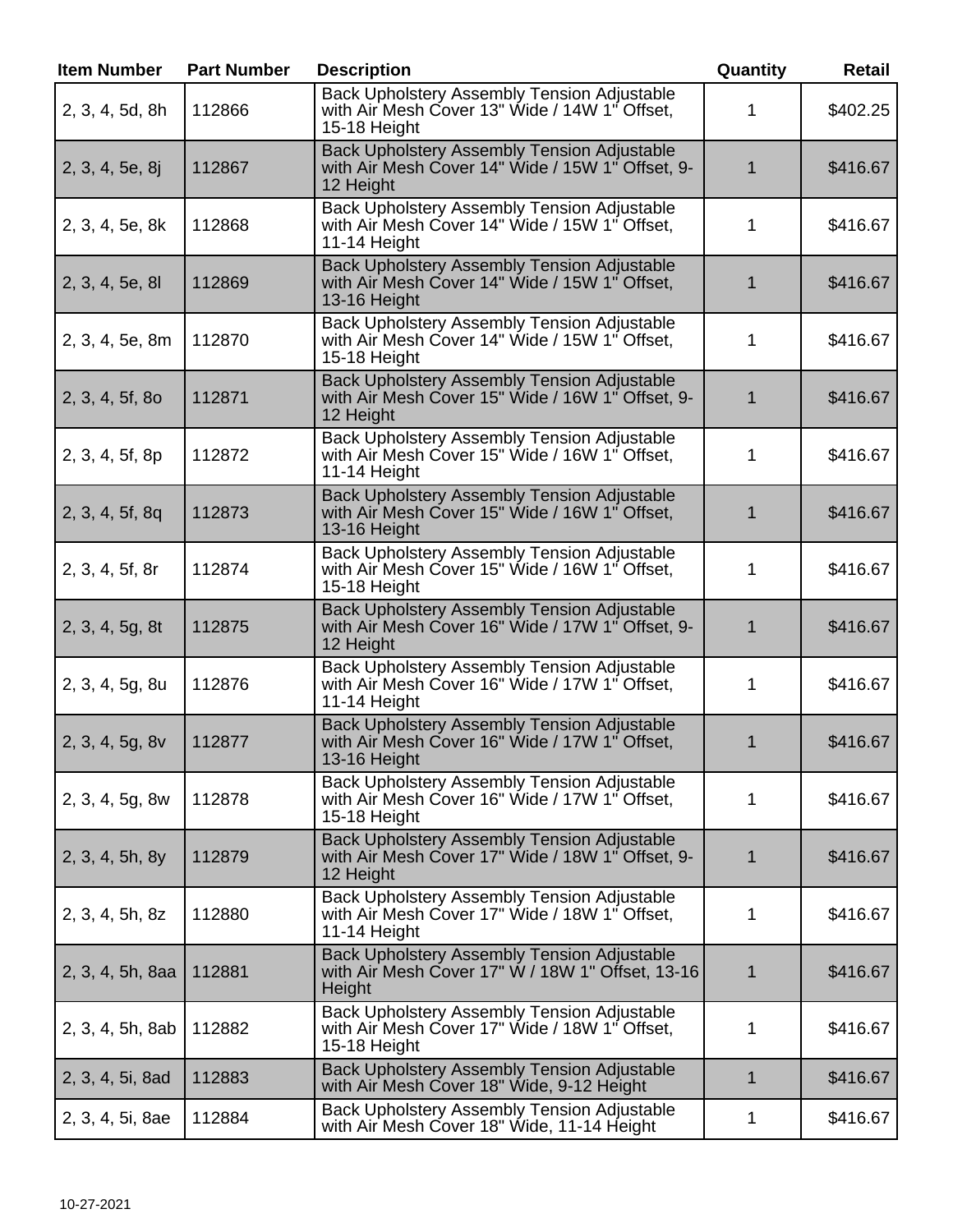| <b>Item Number</b> | <b>Part Number</b> | <b>Description</b>                                                                                                  | Quantity    | <b>Retail</b> |
|--------------------|--------------------|---------------------------------------------------------------------------------------------------------------------|-------------|---------------|
| 2, 3, 4, 5d, 8h    | 112866             | <b>Back Upholstery Assembly Tension Adjustable</b><br>with Air Mesh Cover 13" Wide / 14W 1" Offset,<br>15-18 Height | 1           | \$402.25      |
| 2, 3, 4, 5e, 8j    | 112867             | <b>Back Upholstery Assembly Tension Adjustable</b><br>with Air Mesh Cover 14" Wide / 15W 1" Offset, 9-<br>12 Height | 1           | \$416.67      |
| 2, 3, 4, 5e, 8k    | 112868             | Back Upholstery Assembly Tension Adjustable<br>with Air Mesh Cover 14" Wide / 15W 1" Offset,<br>11-14 Height        | 1           | \$416.67      |
| 2, 3, 4, 5e, 8l    | 112869             | Back Upholstery Assembly Tension Adjustable<br>with Air Mesh Cover 14" Wide / 15W 1" Offset,<br>13-16 Height        | 1           | \$416.67      |
| 2, 3, 4, 5e, 8m    | 112870             | Back Upholstery Assembly Tension Adjustable<br>with Air Mesh Cover 14" Wide / 15W 1" Offset,<br>15-18 Height        | 1           | \$416.67      |
| 2, 3, 4, 5f, 8o    | 112871             | <b>Back Upholstery Assembly Tension Adjustable</b><br>with Air Mesh Cover 15" Wide / 16W 1" Offset, 9-<br>12 Height | 1           | \$416.67      |
| 2, 3, 4, 5f, 8p    | 112872             | Back Upholstery Assembly Tension Adjustable<br>with Air Mesh Cover 15" Wide / 16W 1" Offset,<br>11-14 Height        | 1           | \$416.67      |
| 2, 3, 4, 5f, 8q    | 112873             | Back Upholstery Assembly Tension Adjustable<br>with Air Mesh Cover 15" Wide / 16W 1" Offset,<br>13-16 Height        | 1           | \$416.67      |
| 2, 3, 4, 5f, 8r    | 112874             | <b>Back Upholstery Assembly Tension Adjustable</b><br>with Air Mesh Cover 15" Wide / 16W 1" Offset,<br>15-18 Height | 1           | \$416.67      |
| 2, 3, 4, 5g, 8t    | 112875             | <b>Back Upholstery Assembly Tension Adjustable</b><br>with Air Mesh Cover 16" Wide / 17W 1" Offset, 9-<br>12 Height | 1           | \$416.67      |
| 2, 3, 4, 5g, 8u    | 112876             | <b>Back Upholstery Assembly Tension Adjustable</b><br>with Air Mesh Cover 16" Wide / 17W 1" Offset,<br>11-14 Height | 1           | \$416.67      |
| 2, 3, 4, 5g, 8v    | 112877             | <b>Back Upholstery Assembly Tension Adjustable</b><br>with Air Mesh Cover 16" Wide / 17W 1" Offset,<br>13-16 Height | 1           | \$416.67      |
| 2, 3, 4, 5g, 8w    | 112878             | Back Upholstery Assembly Tension Adjustable<br>with Air Mesh Cover 16" Wide / 17W 1" Offset,<br>15-18 Height        | 1           | \$416.67      |
| 2, 3, 4, 5h, 8y    | 112879             | Back Upholstery Assembly Tension Adjustable<br>with Air Mesh Cover 17" Wide / 18W 1" Offset, 9-<br>12 Height        | 1           | \$416.67      |
| 2, 3, 4, 5h, 8z    | 112880             | Back Upholstery Assembly Tension Adjustable<br>with Air Mesh Cover 17" Wide / 18W 1" Offset,<br>11-14 Height        | 1           | \$416.67      |
| 2, 3, 4, 5h, 8aa   | 112881             | <b>Back Upholstery Assembly Tension Adjustable</b><br>with Air Mesh Cover 17" W / 18W 1" Offset, 13-16<br>Height    | 1           | \$416.67      |
| 2, 3, 4, 5h, 8ab   | 112882             | <b>Back Upholstery Assembly Tension Adjustable</b><br>with Air Mesh Cover 17" Wide / 18W 1" Offset,<br>15-18 Height | 1           | \$416.67      |
| 2, 3, 4, 5i, 8ad   | 112883             | <b>Back Upholstery Assembly Tension Adjustable</b><br>with Air Mesh Cover 18" Wide, 9-12 Height                     | $\mathbf 1$ | \$416.67      |
| 2, 3, 4, 5i, 8ae   | 112884             | Back Upholstery Assembly Tension Adjustable<br>with Air Mesh Cover 18" Wide, 11-14 Height                           | 1           | \$416.67      |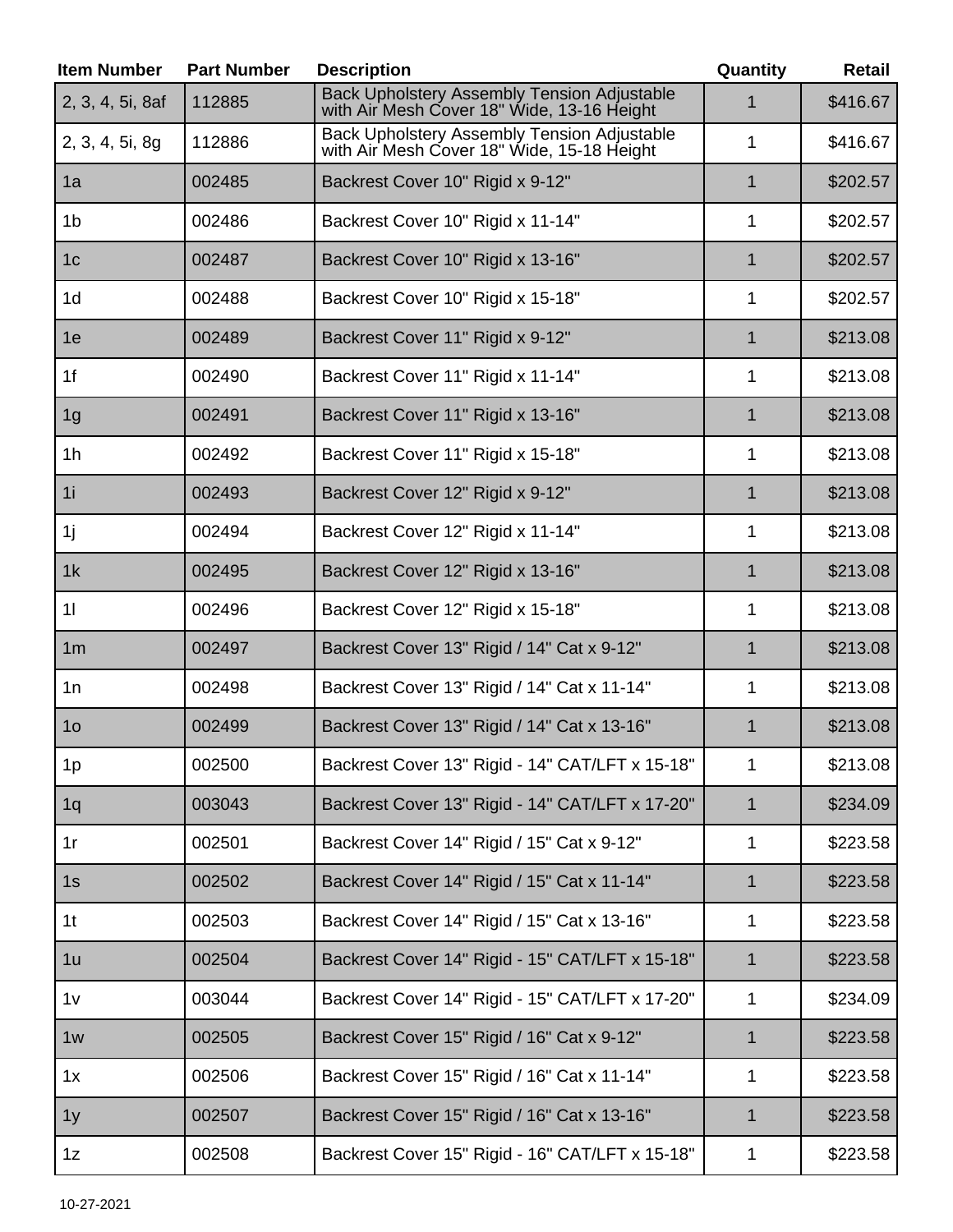| <b>Item Number</b> | <b>Part Number</b> | <b>Description</b>                                                                               | Quantity     | <b>Retail</b> |
|--------------------|--------------------|--------------------------------------------------------------------------------------------------|--------------|---------------|
| 2, 3, 4, 5i, 8af   | 112885             | <b>Back Upholstery Assembly Tension Adjustable</b><br>with Air Mesh Cover 18" Wide, 13-16 Height | 1            | \$416.67      |
| 2, 3, 4, 5i, 8g    | 112886             | Back Upholstery Assembly Tension Adjustable<br>with Air Mesh Cover 18" Wide, 15-18 Height        | 1            | \$416.67      |
| 1a                 | 002485             | Backrest Cover 10" Rigid x 9-12"                                                                 | 1            | \$202.57      |
| 1 <sub>b</sub>     | 002486             | Backrest Cover 10" Rigid x 11-14"                                                                | 1            | \$202.57      |
| 1 <sub>c</sub>     | 002487             | Backrest Cover 10" Rigid x 13-16"                                                                | $\mathbf 1$  | \$202.57      |
| 1 <sub>d</sub>     | 002488             | Backrest Cover 10" Rigid x 15-18"                                                                | 1            | \$202.57      |
| 1e                 | 002489             | Backrest Cover 11" Rigid x 9-12"                                                                 | $\mathbf 1$  | \$213.08      |
| 1f                 | 002490             | Backrest Cover 11" Rigid x 11-14"                                                                | 1            | \$213.08      |
| 1 <sub>g</sub>     | 002491             | Backrest Cover 11" Rigid x 13-16"                                                                | 1            | \$213.08      |
| 1 <sub>h</sub>     | 002492             | Backrest Cover 11" Rigid x 15-18"                                                                | 1            | \$213.08      |
| 1i                 | 002493             | Backrest Cover 12" Rigid x 9-12"                                                                 | $\mathbf 1$  | \$213.08      |
| 1j                 | 002494             | Backrest Cover 12" Rigid x 11-14"                                                                | 1            | \$213.08      |
| 1k                 | 002495             | Backrest Cover 12" Rigid x 13-16"                                                                | $\mathbf 1$  | \$213.08      |
| 11                 | 002496             | Backrest Cover 12" Rigid x 15-18"                                                                | 1            | \$213.08      |
| 1 <sub>m</sub>     | 002497             | Backrest Cover 13" Rigid / 14" Cat x 9-12"                                                       | 1            | \$213.08      |
| 1n                 | 002498             | Backrest Cover 13" Rigid / 14" Cat x 11-14"                                                      | 1            | \$213.08      |
| 1 <sub>O</sub>     | 002499             | Backrest Cover 13" Rigid / 14" Cat x 13-16"                                                      | $\mathbf 1$  | \$213.08      |
| 1p                 | 002500             | Backrest Cover 13" Rigid - 14" CAT/LFT x 15-18"                                                  | 1            | \$213.08      |
| 1q                 | 003043             | Backrest Cover 13" Rigid - 14" CAT/LFT x 17-20"                                                  | $\mathbf 1$  | \$234.09      |
| 1r                 | 002501             | Backrest Cover 14" Rigid / 15" Cat x 9-12"                                                       | 1            | \$223.58      |
| 1s                 | 002502             | Backrest Cover 14" Rigid / 15" Cat x 11-14"                                                      | 1            | \$223.58      |
| 1 <sub>t</sub>     | 002503             | Backrest Cover 14" Rigid / 15" Cat x 13-16"                                                      | 1            | \$223.58      |
| 1u                 | 002504             | Backrest Cover 14" Rigid - 15" CAT/LFT x 15-18"                                                  | 1            | \$223.58      |
| 1 <sub>V</sub>     | 003044             | Backrest Cover 14" Rigid - 15" CAT/LFT x 17-20"                                                  | 1            | \$234.09      |
| 1w                 | 002505             | Backrest Cover 15" Rigid / 16" Cat x 9-12"                                                       | $\mathbf{1}$ | \$223.58      |
| 1x                 | 002506             | Backrest Cover 15" Rigid / 16" Cat x 11-14"                                                      | 1            | \$223.58      |
| 1 <sub>y</sub>     | 002507             | Backrest Cover 15" Rigid / 16" Cat x 13-16"                                                      | 1            | \$223.58      |
| 1z                 | 002508             | Backrest Cover 15" Rigid - 16" CAT/LFT x 15-18"                                                  | 1            | \$223.58      |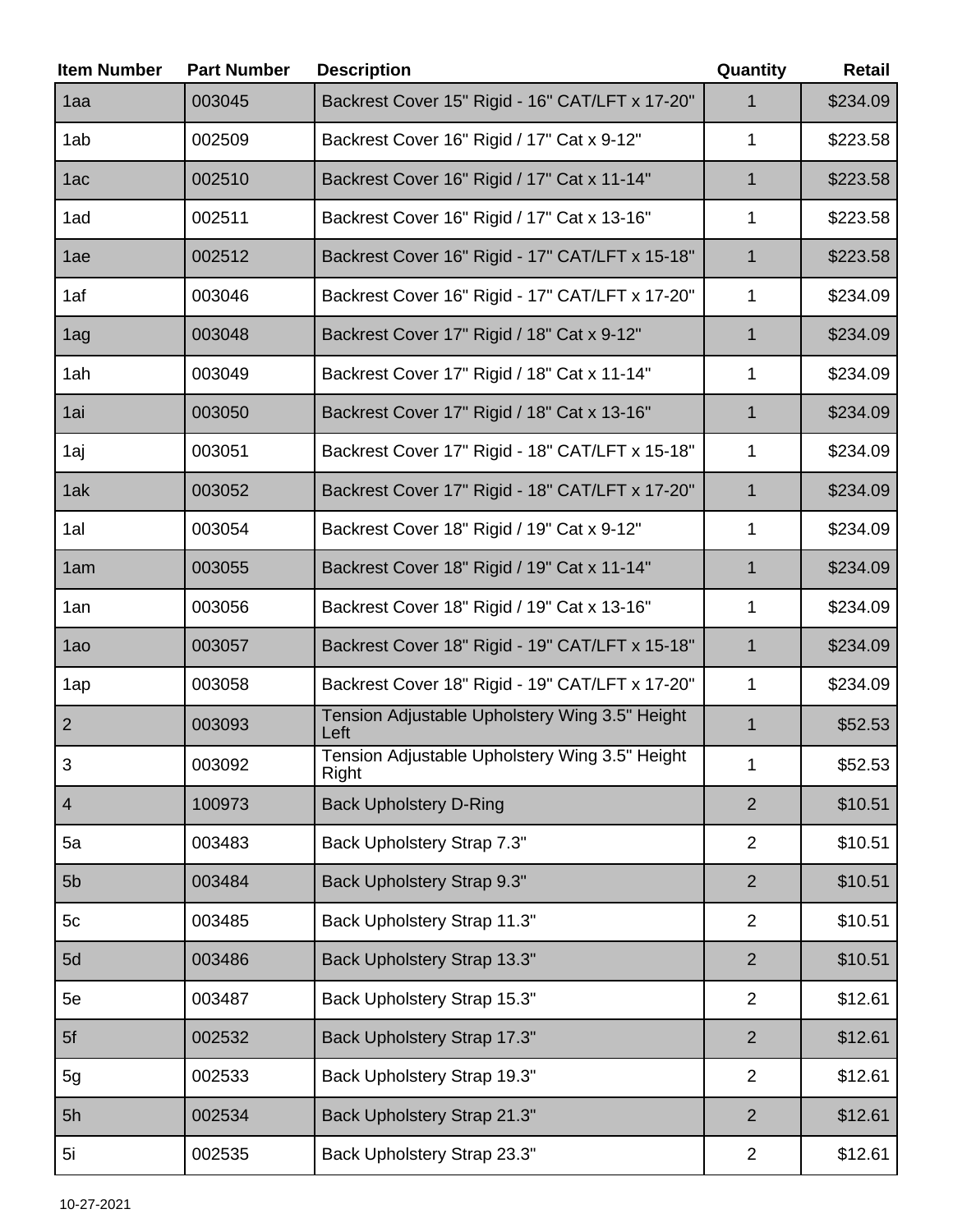| <b>Item Number</b> | <b>Part Number</b> | <b>Description</b>                                      | Quantity       | <b>Retail</b> |
|--------------------|--------------------|---------------------------------------------------------|----------------|---------------|
| 1aa                | 003045             | Backrest Cover 15" Rigid - 16" CAT/LFT x 17-20"         | 1              | \$234.09      |
| 1ab                | 002509             | Backrest Cover 16" Rigid / 17" Cat x 9-12"              | 1              | \$223.58      |
| 1ac                | 002510             | Backrest Cover 16" Rigid / 17" Cat x 11-14"             | 1              | \$223.58      |
| 1ad                | 002511             | Backrest Cover 16" Rigid / 17" Cat x 13-16"             | 1              | \$223.58      |
| 1ae                | 002512             | Backrest Cover 16" Rigid - 17" CAT/LFT x 15-18"         | 1              | \$223.58      |
| 1af                | 003046             | Backrest Cover 16" Rigid - 17" CAT/LFT x 17-20"         | 1              | \$234.09      |
| 1ag                | 003048             | Backrest Cover 17" Rigid / 18" Cat x 9-12"              | 1              | \$234.09      |
| 1ah                | 003049             | Backrest Cover 17" Rigid / 18" Cat x 11-14"             | 1              | \$234.09      |
| 1ai                | 003050             | Backrest Cover 17" Rigid / 18" Cat x 13-16"             | 1              | \$234.09      |
| 1aj                | 003051             | Backrest Cover 17" Rigid - 18" CAT/LFT x 15-18"         | 1              | \$234.09      |
| 1ak                | 003052             | Backrest Cover 17" Rigid - 18" CAT/LFT x 17-20"         | $\mathbf 1$    | \$234.09      |
| 1al                | 003054             | Backrest Cover 18" Rigid / 19" Cat x 9-12"              | 1              | \$234.09      |
| 1am                | 003055             | Backrest Cover 18" Rigid / 19" Cat x 11-14"             | $\mathbf 1$    | \$234.09      |
| 1an                | 003056             | Backrest Cover 18" Rigid / 19" Cat x 13-16"             | 1              | \$234.09      |
| 1ao                | 003057             | Backrest Cover 18" Rigid - 19" CAT/LFT x 15-18"         | $\mathbf 1$    | \$234.09      |
| 1ap                | 003058             | Backrest Cover 18" Rigid - 19" CAT/LFT x 17-20"         | 1              | \$234.09      |
| $\overline{2}$     | 003093             | Tension Adjustable Upholstery Wing 3.5" Height<br>Left  | 1              | \$52.53       |
| 3                  | 003092             | Tension Adjustable Upholstery Wing 3.5" Height<br>Right | 1              | \$52.53       |
| $\overline{4}$     | 100973             | <b>Back Upholstery D-Ring</b>                           | $\overline{2}$ | \$10.51       |
| 5a                 | 003483             | Back Upholstery Strap 7.3"                              | $\overline{2}$ | \$10.51       |
| 5 <sub>b</sub>     | 003484             | Back Upholstery Strap 9.3"                              | $\overline{2}$ | \$10.51       |
| 5c                 | 003485             | Back Upholstery Strap 11.3"                             | $\overline{2}$ | \$10.51       |
| 5d                 | 003486             | Back Upholstery Strap 13.3"                             | $\overline{2}$ | \$10.51       |
| 5e                 | 003487             | Back Upholstery Strap 15.3"                             | $\overline{2}$ | \$12.61       |
| 5f                 | 002532             | Back Upholstery Strap 17.3"                             | $\overline{2}$ | \$12.61       |
| 5g                 | 002533             | Back Upholstery Strap 19.3"                             | $\overline{2}$ | \$12.61       |
| 5h                 | 002534             | Back Upholstery Strap 21.3"                             | $\overline{2}$ | \$12.61       |
| 5i                 | 002535             | Back Upholstery Strap 23.3"                             | $\overline{2}$ | \$12.61       |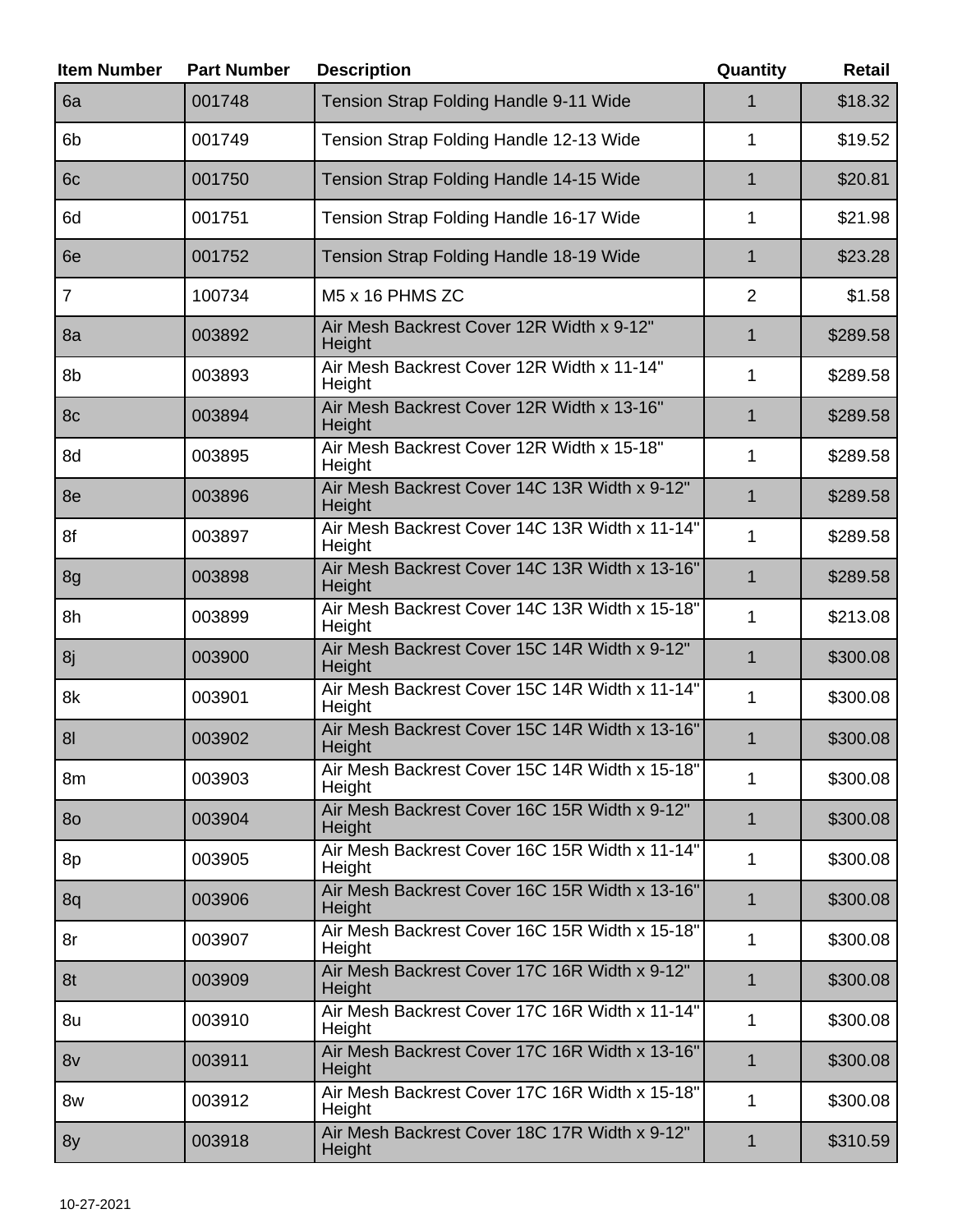| <b>Item Number</b> | <b>Part Number</b> | <b>Description</b>                                       | Quantity       | Retail   |
|--------------------|--------------------|----------------------------------------------------------|----------------|----------|
| 6a                 | 001748             | Tension Strap Folding Handle 9-11 Wide                   | 1              | \$18.32  |
| 6 <sub>b</sub>     | 001749             | Tension Strap Folding Handle 12-13 Wide                  | 1              | \$19.52  |
| 6c                 | 001750             | Tension Strap Folding Handle 14-15 Wide                  | $\mathbf{1}$   | \$20.81  |
| 6d                 | 001751             | Tension Strap Folding Handle 16-17 Wide                  | 1              | \$21.98  |
| 6e                 | 001752             | Tension Strap Folding Handle 18-19 Wide                  | $\mathbf 1$    | \$23.28  |
| $\overline{7}$     | 100734             | M5 x 16 PHMS ZC                                          | $\overline{2}$ | \$1.58   |
| 8a                 | 003892             | Air Mesh Backrest Cover 12R Width x 9-12"<br>Height      | $\mathbf 1$    | \$289.58 |
| 8b                 | 003893             | Air Mesh Backrest Cover 12R Width x 11-14"<br>Height     | 1              | \$289.58 |
| 8c                 | 003894             | Air Mesh Backrest Cover 12R Width x 13-16"<br>Height     | $\mathbf 1$    | \$289.58 |
| 8d                 | 003895             | Air Mesh Backrest Cover 12R Width x 15-18"<br>Height     | 1              | \$289.58 |
| 8e                 | 003896             | Air Mesh Backrest Cover 14C 13R Width x 9-12"<br>Height  | $\overline{1}$ | \$289.58 |
| 8f                 | 003897             | Air Mesh Backrest Cover 14C 13R Width x 11-14"<br>Height | 1              | \$289.58 |
| 8g                 | 003898             | Air Mesh Backrest Cover 14C 13R Width x 13-16"<br>Height | $\mathbf{1}$   | \$289.58 |
| 8h                 | 003899             | Air Mesh Backrest Cover 14C 13R Width x 15-18"<br>Height | 1              | \$213.08 |
| 8j                 | 003900             | Air Mesh Backrest Cover 15C 14R Width x 9-12"<br>Height  | 1              | \$300.08 |
| 8k                 | 003901             | Air Mesh Backrest Cover 15C 14R Width x 11-14"<br>Height | 1              | \$300.08 |
| 8 <sub>l</sub>     | 003902             | Air Mesh Backrest Cover 15C 14R Width x 13-16"<br>Height | 1              | \$300.08 |
| 8m                 | 003903             | Air Mesh Backrest Cover 15C 14R Width x 15-18"<br>Height | 1              | \$300.08 |
| 80                 | 003904             | Air Mesh Backrest Cover 16C 15R Width x 9-12"<br>Height  | $\mathbf 1$    | \$300.08 |
| 8p                 | 003905             | Air Mesh Backrest Cover 16C 15R Width x 11-14"<br>Height | 1              | \$300.08 |
| 8q                 | 003906             | Air Mesh Backrest Cover 16C 15R Width x 13-16"<br>Height | $\mathbf 1$    | \$300.08 |
| 8r                 | 003907             | Air Mesh Backrest Cover 16C 15R Width x 15-18"<br>Height | 1              | \$300.08 |
| 8t                 | 003909             | Air Mesh Backrest Cover 17C 16R Width x 9-12"<br>Height  | $\mathbf 1$    | \$300.08 |
| 8u                 | 003910             | Air Mesh Backrest Cover 17C 16R Width x 11-14"<br>Height | $\mathbf{1}$   | \$300.08 |
| 8v                 | 003911             | Air Mesh Backrest Cover 17C 16R Width x 13-16"<br>Height | 1              | \$300.08 |
| 8w                 | 003912             | Air Mesh Backrest Cover 17C 16R Width x 15-18"<br>Height | 1              | \$300.08 |
| 8y                 | 003918             | Air Mesh Backrest Cover 18C 17R Width x 9-12"<br>Height  | $\mathbf{1}$   | \$310.59 |